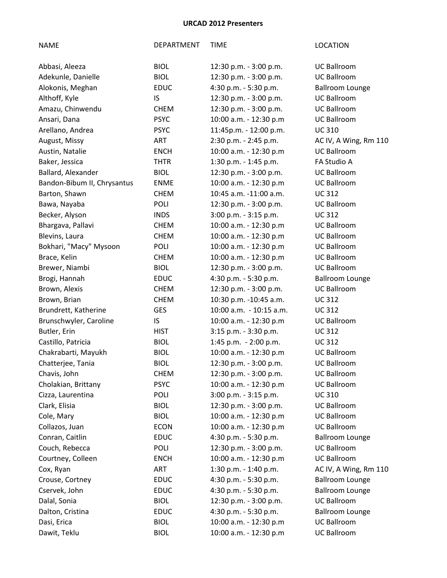| Abbasi, Aleeza              | <b>BIOL</b> | 12:30 p.m. - 3:00 p.m.  | <b>UC Ballroom</b>     |
|-----------------------------|-------------|-------------------------|------------------------|
| Adekunle, Danielle          | <b>BIOL</b> | 12:30 p.m. - 3:00 p.m.  | <b>UC Ballroom</b>     |
| Alokonis, Meghan            | <b>EDUC</b> | 4:30 p.m. - 5:30 p.m.   | <b>Ballroom Lounge</b> |
| Althoff, Kyle               | IS.         | 12:30 p.m. - 3:00 p.m.  | <b>UC Ballroom</b>     |
| Amazu, Chinwendu            | <b>CHEM</b> | 12:30 p.m. - 3:00 p.m.  | <b>UC Ballroom</b>     |
| Ansari, Dana                | <b>PSYC</b> | 10:00 a.m. - 12:30 p.m  | <b>UC Ballroom</b>     |
| Arellano, Andrea            | <b>PSYC</b> | 11:45p.m. - 12:00 p.m.  | <b>UC310</b>           |
| August, Missy               | <b>ART</b>  | 2:30 p.m. - 2:45 p.m.   | AC IV, A Wing, Rm 110  |
| Austin, Natalie             | <b>ENCH</b> | 10:00 a.m. - 12:30 p.m  | <b>UC Ballroom</b>     |
| Baker, Jessica              | <b>THTR</b> | 1:30 p.m. - 1:45 p.m.   | FA Studio A            |
| Ballard, Alexander          | <b>BIOL</b> | 12:30 p.m. - 3:00 p.m.  | <b>UC Ballroom</b>     |
| Bandon-Bibum II, Chrysantus | <b>ENME</b> | 10:00 a.m. - 12:30 p.m  | <b>UC Ballroom</b>     |
| Barton, Shawn               | <b>CHEM</b> | 10:45 a.m. -11:00 a.m.  | <b>UC312</b>           |
| Bawa, Nayaba                | POLI        | 12:30 p.m. - 3:00 p.m.  | <b>UC Ballroom</b>     |
| Becker, Alyson              | <b>INDS</b> | 3:00 p.m. - 3:15 p.m.   | <b>UC312</b>           |
| Bhargava, Pallavi           | <b>CHEM</b> | 10:00 a.m. - 12:30 p.m  | <b>UC Ballroom</b>     |
| Blevins, Laura              | <b>CHEM</b> | 10:00 a.m. - 12:30 p.m  | <b>UC Ballroom</b>     |
| Bokhari, "Macy" Mysoon      | <b>POLI</b> | 10:00 a.m. - 12:30 p.m  | <b>UC Ballroom</b>     |
| Brace, Kelin                | <b>CHEM</b> | 10:00 a.m. - 12:30 p.m  | <b>UC Ballroom</b>     |
| Brewer, Niambi              | <b>BIOL</b> | 12:30 p.m. - 3:00 p.m.  | <b>UC Ballroom</b>     |
| Brogi, Hannah               | <b>EDUC</b> | 4:30 p.m. - 5:30 p.m.   | <b>Ballroom Lounge</b> |
| Brown, Alexis               | <b>CHEM</b> | 12:30 p.m. - 3:00 p.m.  | <b>UC Ballroom</b>     |
| Brown, Brian                | <b>CHEM</b> | 10:30 p.m. -10:45 a.m.  | <b>UC312</b>           |
| Brundrett, Katherine        | <b>GES</b>  | 10:00 a.m. - 10:15 a.m. | <b>UC312</b>           |
| Brunschwyler, Caroline      | IS          | 10:00 a.m. - 12:30 p.m  | <b>UC Ballroom</b>     |
| Butler, Erin                | <b>HIST</b> | 3:15 p.m. - 3:30 p.m.   | <b>UC312</b>           |
| Castillo, Patricia          | <b>BIOL</b> | 1:45 p.m. - 2:00 p.m.   | <b>UC312</b>           |
| Chakrabarti, Mayukh         | <b>BIOL</b> | 10:00 a.m. - 12:30 p.m  | <b>UC Ballroom</b>     |
| Chatterjee, Tania           | <b>BIOL</b> | 12:30 p.m. - 3:00 p.m.  | <b>UC Ballroom</b>     |
| Chavis, John                | <b>CHEM</b> | 12:30 p.m. - 3:00 p.m.  | <b>UC Ballroom</b>     |
| Cholakian, Brittany         | <b>PSYC</b> | 10:00 a.m. - 12:30 p.m  | <b>UC Ballroom</b>     |
| Cizza, Laurentina           | <b>POLI</b> | 3:00 p.m. - 3:15 p.m.   | <b>UC310</b>           |
| Clark, Elisia               | <b>BIOL</b> | 12:30 p.m. - 3:00 p.m.  | <b>UC Ballroom</b>     |
| Cole, Mary                  | <b>BIOL</b> | 10:00 a.m. - 12:30 p.m  | <b>UC Ballroom</b>     |
| Collazos, Juan              | <b>ECON</b> | 10:00 a.m. - 12:30 p.m  | <b>UC Ballroom</b>     |
| Conran, Caitlin             | <b>EDUC</b> | 4:30 p.m. - 5:30 p.m.   | <b>Ballroom Lounge</b> |
| Couch, Rebecca              | <b>POLI</b> | 12:30 p.m. - 3:00 p.m.  | <b>UC Ballroom</b>     |
| Courtney, Colleen           | <b>ENCH</b> | 10:00 a.m. - 12:30 p.m  | <b>UC Ballroom</b>     |
| Cox, Ryan                   | ART         | 1:30 p.m. - 1:40 p.m.   | AC IV, A Wing, Rm 110  |
| Crouse, Cortney             | <b>EDUC</b> | 4:30 p.m. - 5:30 p.m.   | <b>Ballroom Lounge</b> |
| Cservek, John               | <b>EDUC</b> | 4:30 p.m. - 5:30 p.m.   | <b>Ballroom Lounge</b> |
| Dalal, Sonia                | <b>BIOL</b> | 12:30 p.m. - 3:00 p.m.  | <b>UC Ballroom</b>     |
| Dalton, Cristina            | <b>EDUC</b> | 4:30 p.m. - 5:30 p.m.   | <b>Ballroom Lounge</b> |
| Dasi, Erica                 | <b>BIOL</b> | 10:00 a.m. - 12:30 p.m  | <b>UC Ballroom</b>     |
| Dawit, Teklu                | <b>BIOL</b> | 10:00 a.m. - 12:30 p.m  | <b>UC Ballroom</b>     |
|                             |             |                         |                        |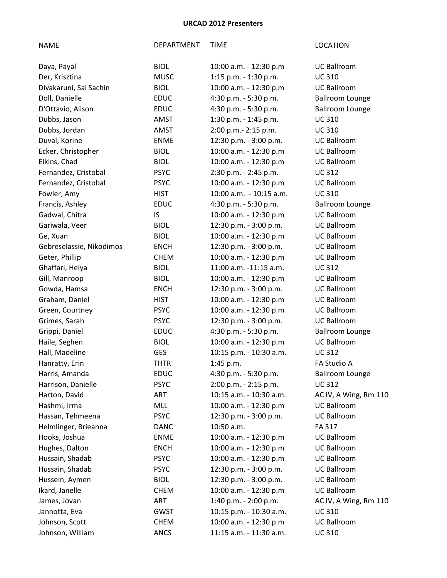| Daya, Payal              | <b>BIOL</b> | 10:00 a.m. - 12:30 p.m  | <b>UC Ballroom</b>     |
|--------------------------|-------------|-------------------------|------------------------|
| Der, Krisztina           | <b>MUSC</b> | 1:15 p.m. $-$ 1:30 p.m. | <b>UC310</b>           |
| Divakaruni, Sai Sachin   | <b>BIOL</b> | 10:00 a.m. - 12:30 p.m  | <b>UC Ballroom</b>     |
| Doll, Danielle           | <b>EDUC</b> | 4:30 p.m. - 5:30 p.m.   | <b>Ballroom Lounge</b> |
| D'Ottavio, Alison        | <b>EDUC</b> | 4:30 p.m. - 5:30 p.m.   | <b>Ballroom Lounge</b> |
| Dubbs, Jason             | AMST        | 1:30 p.m. - 1:45 p.m.   | <b>UC310</b>           |
| Dubbs, Jordan            | AMST        | 2:00 p.m.- 2:15 p.m.    | <b>UC310</b>           |
| Duval, Korine            | <b>ENME</b> | 12:30 p.m. - 3:00 p.m.  | <b>UC Ballroom</b>     |
| Ecker, Christopher       | <b>BIOL</b> | 10:00 a.m. - 12:30 p.m  | <b>UC Ballroom</b>     |
| Elkins, Chad             | <b>BIOL</b> | 10:00 a.m. - 12:30 p.m  | <b>UC Ballroom</b>     |
| Fernandez, Cristobal     | <b>PSYC</b> | 2:30 p.m. - 2:45 p.m.   | <b>UC312</b>           |
| Fernandez, Cristobal     | <b>PSYC</b> | 10:00 a.m. - 12:30 p.m  | <b>UC Ballroom</b>     |
| Fowler, Amy              | <b>HIST</b> | 10:00 a.m. - 10:15 a.m. | <b>UC310</b>           |
| Francis, Ashley          | <b>EDUC</b> | 4:30 p.m. - 5:30 p.m.   | <b>Ballroom Lounge</b> |
| Gadwal, Chitra           | IS          | 10:00 a.m. - 12:30 p.m  | <b>UC Ballroom</b>     |
| Gariwala, Veer           | <b>BIOL</b> | 12:30 p.m. - 3:00 p.m.  | <b>UC Ballroom</b>     |
| Ge, Xuan                 | <b>BIOL</b> | 10:00 a.m. - 12:30 p.m  | <b>UC Ballroom</b>     |
| Gebreselassie, Nikodimos | <b>ENCH</b> | 12:30 p.m. - 3:00 p.m.  | <b>UC Ballroom</b>     |
| Geter, Phillip           | <b>CHEM</b> | 10:00 a.m. - 12:30 p.m  | <b>UC Ballroom</b>     |
| Ghaffari, Helya          | <b>BIOL</b> | 11:00 a.m. -11:15 a.m.  | <b>UC312</b>           |
| Gill, Manroop            | <b>BIOL</b> | 10:00 a.m. - 12:30 p.m  | <b>UC Ballroom</b>     |
| Gowda, Hamsa             | <b>ENCH</b> | 12:30 p.m. - 3:00 p.m.  | <b>UC Ballroom</b>     |
| Graham, Daniel           | <b>HIST</b> | 10:00 a.m. - 12:30 p.m  | <b>UC Ballroom</b>     |
| Green, Courtney          | <b>PSYC</b> | 10:00 a.m. - 12:30 p.m  | <b>UC Ballroom</b>     |
| Grimes, Sarah            | <b>PSYC</b> | 12:30 p.m. - 3:00 p.m.  | <b>UC Ballroom</b>     |
| Grippi, Daniel           | <b>EDUC</b> | 4:30 p.m. - 5:30 p.m.   | <b>Ballroom Lounge</b> |
| Haile, Seghen            | <b>BIOL</b> | 10:00 a.m. - 12:30 p.m  | <b>UC Ballroom</b>     |
| Hall, Madeline           | <b>GES</b>  | 10:15 p.m. - 10:30 a.m. | <b>UC312</b>           |
| Hanratty, Erin           | <b>THTR</b> | $1:45$ p.m.             | FA Studio A            |
| Harris, Amanda           | <b>EDUC</b> | 4:30 p.m. - 5:30 p.m.   | <b>Ballroom Lounge</b> |
| Harrison, Danielle       | <b>PSYC</b> | 2:00 p.m. - 2:15 p.m.   | <b>UC312</b>           |
| Harton, David            | ART         | 10:15 a.m. - 10:30 a.m. | AC IV, A Wing, Rm 110  |
| Hashmi, Irma             | MLL         | 10:00 a.m. - 12:30 p.m  | <b>UC Ballroom</b>     |
| Hassan, Tehmeena         | <b>PSYC</b> | 12:30 p.m. - 3:00 p.m.  | <b>UC Ballroom</b>     |
| Helmlinger, Brieanna     | <b>DANC</b> | 10:50 a.m.              | FA 317                 |
| Hooks, Joshua            | <b>ENME</b> | 10:00 a.m. - 12:30 p.m  | <b>UC Ballroom</b>     |
| Hughes, Dalton           | <b>ENCH</b> | 10:00 a.m. - 12:30 p.m  | <b>UC Ballroom</b>     |
| Hussain, Shadab          | <b>PSYC</b> | 10:00 a.m. - 12:30 p.m  | <b>UC Ballroom</b>     |
| Hussain, Shadab          | <b>PSYC</b> | 12:30 p.m. - 3:00 p.m.  | <b>UC Ballroom</b>     |
| Hussein, Aymen           | <b>BIOL</b> | 12:30 p.m. - 3:00 p.m.  | <b>UC Ballroom</b>     |
| Ikard, Janelle           | <b>CHEM</b> | 10:00 a.m. - 12:30 p.m  | <b>UC Ballroom</b>     |
| James, Jovan             | ART         | 1:40 p.m. - 2:00 p.m.   | AC IV, A Wing, Rm 110  |
| Jannotta, Eva            | <b>GWST</b> | 10:15 p.m. - 10:30 a.m. | <b>UC310</b>           |
| Johnson, Scott           | <b>CHEM</b> | 10:00 a.m. - 12:30 p.m  | <b>UC Ballroom</b>     |
| Johnson, William         | <b>ANCS</b> | 11:15 a.m. - 11:30 a.m. | <b>UC310</b>           |
|                          |             |                         |                        |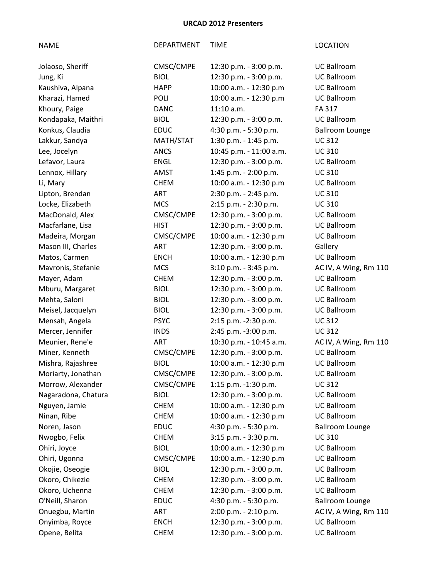| <b>NAME</b>         | DEPARTMENT  | TIME                    | <b>LOCATION</b>        |
|---------------------|-------------|-------------------------|------------------------|
| Jolaoso, Sheriff    | CMSC/CMPE   | 12:30 p.m. - 3:00 p.m.  | <b>UC Ballroom</b>     |
| Jung, Ki            | <b>BIOL</b> | 12:30 p.m. - 3:00 p.m.  | <b>UC Ballroom</b>     |
| Kaushiva, Alpana    | <b>HAPP</b> | 10:00 a.m. - 12:30 p.m  | <b>UC Ballroom</b>     |
| Kharazi, Hamed      | POLI        | 10:00 a.m. - 12:30 p.m  | <b>UC Ballroom</b>     |
| Khoury, Paige       | <b>DANC</b> | $11:10$ a.m.            | FA 317                 |
| Kondapaka, Maithri  | <b>BIOL</b> | 12:30 p.m. - 3:00 p.m.  | <b>UC Ballroom</b>     |
| Konkus, Claudia     | <b>EDUC</b> | 4:30 p.m. - 5:30 p.m.   | <b>Ballroom Lounge</b> |
| Lakkur, Sandya      | MATH/STAT   | 1:30 p.m. - 1:45 p.m.   | <b>UC312</b>           |
| Lee, Jocelyn        | <b>ANCS</b> | 10:45 p.m. - 11:00 a.m. | <b>UC310</b>           |
| Lefavor, Laura      | <b>ENGL</b> | 12:30 p.m. - 3:00 p.m.  | <b>UC Ballroom</b>     |
| Lennox, Hillary     | <b>AMST</b> | 1:45 p.m. - 2:00 p.m.   | <b>UC310</b>           |
| Li, Mary            | <b>CHEM</b> | 10:00 a.m. - 12:30 p.m  | <b>UC Ballroom</b>     |
| Lipton, Brendan     | ART         | 2:30 p.m. - 2:45 p.m.   | <b>UC310</b>           |
| Locke, Elizabeth    | <b>MCS</b>  | 2:15 p.m. - 2:30 p.m.   | <b>UC310</b>           |
| MacDonald, Alex     | CMSC/CMPE   | 12:30 p.m. - 3:00 p.m.  | <b>UC Ballroom</b>     |
| Macfarlane, Lisa    | <b>HIST</b> | 12:30 p.m. - 3:00 p.m.  | <b>UC Ballroom</b>     |
| Madeira, Morgan     | CMSC/CMPE   | 10:00 a.m. - 12:30 p.m  | <b>UC Ballroom</b>     |
| Mason III, Charles  | <b>ART</b>  | 12:30 p.m. - 3:00 p.m.  | Gallery                |
| Matos, Carmen       | <b>ENCH</b> | 10:00 a.m. - 12:30 p.m  | <b>UC Ballroom</b>     |
| Mavronis, Stefanie  | <b>MCS</b>  | 3:10 p.m. - 3:45 p.m.   | AC IV, A Wing, Rm 110  |
| Mayer, Adam         | <b>CHEM</b> | 12:30 p.m. - 3:00 p.m.  | <b>UC Ballroom</b>     |
| Mburu, Margaret     | <b>BIOL</b> | 12:30 p.m. - 3:00 p.m.  | <b>UC Ballroom</b>     |
| Mehta, Saloni       | <b>BIOL</b> | 12:30 p.m. - 3:00 p.m.  | <b>UC Ballroom</b>     |
| Meisel, Jacquelyn   | <b>BIOL</b> | 12:30 p.m. - 3:00 p.m.  | <b>UC Ballroom</b>     |
| Mensah, Angela      | <b>PSYC</b> | 2:15 p.m. -2:30 p.m.    | <b>UC312</b>           |
| Mercer, Jennifer    | <b>INDS</b> | 2:45 p.m. -3:00 p.m.    | <b>UC312</b>           |
| Meunier, Rene'e     | ART         | 10:30 p.m. - 10:45 a.m. | AC IV, A Wing, Rm 110  |
| Miner, Kenneth      | CMSC/CMPE   | 12:30 p.m. - 3:00 p.m.  | <b>UC Ballroom</b>     |
| Mishra, Rajashree   | <b>BIOL</b> | 10:00 a.m. - 12:30 p.m  | <b>UC Ballroom</b>     |
| Moriarty, Jonathan  | CMSC/CMPE   | 12:30 p.m. - 3:00 p.m.  | <b>UC Ballroom</b>     |
| Morrow, Alexander   | CMSC/CMPE   | 1:15 p.m. -1:30 p.m.    | <b>UC312</b>           |
| Nagaradona, Chatura | <b>BIOL</b> | 12:30 p.m. - 3:00 p.m.  | <b>UC Ballroom</b>     |
| Nguyen, Jamie       | <b>CHEM</b> | 10:00 a.m. - 12:30 p.m  | <b>UC Ballroom</b>     |
| Ninan, Ribe         | <b>CHEM</b> | 10:00 a.m. - 12:30 p.m  | <b>UC Ballroom</b>     |
| Noren, Jason        | <b>EDUC</b> | 4:30 p.m. - 5:30 p.m.   | <b>Ballroom Lounge</b> |
| Nwogbo, Felix       | <b>CHEM</b> | 3:15 p.m. - 3:30 p.m.   | <b>UC310</b>           |
| Ohiri, Joyce        | <b>BIOL</b> | 10:00 a.m. - 12:30 p.m  | <b>UC Ballroom</b>     |
| Ohiri, Ugonna       | CMSC/CMPE   | 10:00 a.m. - 12:30 p.m  | <b>UC Ballroom</b>     |
| Okojie, Oseogie     | <b>BIOL</b> | 12:30 p.m. - 3:00 p.m.  | <b>UC Ballroom</b>     |
| Okoro, Chikezie     | <b>CHEM</b> | 12:30 p.m. - 3:00 p.m.  | <b>UC Ballroom</b>     |
| Okoro, Uchenna      | <b>CHEM</b> | 12:30 p.m. - 3:00 p.m.  | <b>UC Ballroom</b>     |
| O'Neill, Sharon     | <b>EDUC</b> | 4:30 p.m. - 5:30 p.m.   | <b>Ballroom Lounge</b> |
| Onuegbu, Martin     | ART         | 2:00 p.m. - 2:10 p.m.   | AC IV, A Wing, Rm 110  |
| Onyimba, Royce      | <b>ENCH</b> | 12:30 p.m. - 3:00 p.m.  | <b>UC Ballroom</b>     |
| Opene, Belita       | <b>CHEM</b> | 12:30 p.m. - 3:00 p.m.  | <b>UC Ballroom</b>     |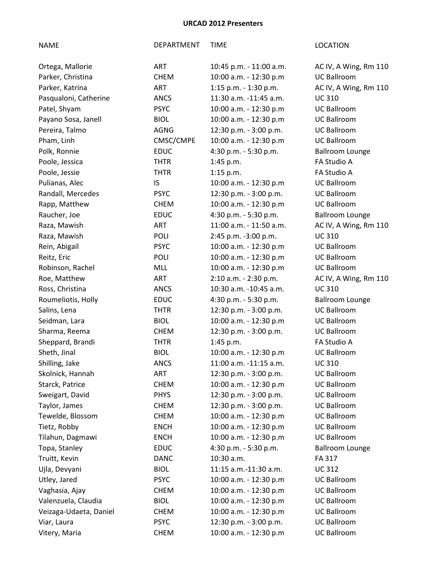| Ortega, Mallorie       | <b>ART</b>  | 10:45 p.m. - 11:00 a.m. | AC IV, A Wing, Rm 110  |
|------------------------|-------------|-------------------------|------------------------|
| Parker, Christina      | <b>CHEM</b> | 10:00 a.m. - 12:30 p.m  | <b>UC Ballroom</b>     |
| Parker, Katrina        | <b>ART</b>  | 1:15 p.m. - 1:30 p.m.   | AC IV, A Wing, Rm 110  |
| Pasqualoni, Catherine  | <b>ANCS</b> | 11:30 a.m. -11:45 a.m.  | <b>UC310</b>           |
| Patel, Shyam           | <b>PSYC</b> | 10:00 a.m. - 12:30 p.m  | <b>UC Ballroom</b>     |
| Payano Sosa, Janell    | <b>BIOL</b> | 10:00 a.m. - 12:30 p.m  | <b>UC Ballroom</b>     |
| Pereira, Talmo         | AGNG        | 12:30 p.m. - 3:00 p.m.  | <b>UC Ballroom</b>     |
| Pham, Linh             | CMSC/CMPE   | 10:00 a.m. - 12:30 p.m  | <b>UC Ballroom</b>     |
| Polk, Ronnie           | <b>EDUC</b> | 4:30 p.m. - 5:30 p.m.   | <b>Ballroom Lounge</b> |
| Poole, Jessica         | <b>THTR</b> | 1:45 p.m.               | FA Studio A            |
| Poole, Jessie          | <b>THTR</b> | $1:15$ p.m.             | FA Studio A            |
| Pulianas, Alec         | IS          | 10:00 a.m. - 12:30 p.m  | <b>UC Ballroom</b>     |
| Randall, Mercedes      | <b>PSYC</b> | 12:30 p.m. - 3:00 p.m.  | <b>UC Ballroom</b>     |
| Rapp, Matthew          | <b>CHEM</b> | 10:00 a.m. - 12:30 p.m  | <b>UC Ballroom</b>     |
| Raucher, Joe           | <b>EDUC</b> | 4:30 p.m. - 5:30 p.m.   | <b>Ballroom Lounge</b> |
| Raza, Mawish           | ART         | 11:00 a.m. - 11:50 a.m. | AC IV, A Wing, Rm 110  |
| Raza, Mawish           | <b>POLI</b> | 2:45 p.m. -3:00 p.m.    | <b>UC310</b>           |
| Rein, Abigail          | <b>PSYC</b> | 10:00 a.m. - 12:30 p.m  | <b>UC Ballroom</b>     |
| Reitz, Eric            | <b>POLI</b> | 10:00 a.m. - 12:30 p.m  | <b>UC Ballroom</b>     |
| Robinson, Rachel       | MLL         | 10:00 a.m. - 12:30 p.m  | <b>UC Ballroom</b>     |
| Roe, Matthew           | ART         | 2:10 a.m. - 2:30 p.m.   | AC IV, A Wing, Rm 110  |
| Ross, Christina        | <b>ANCS</b> | 10:30 a.m. -10:45 a.m.  | <b>UC310</b>           |
| Roumeliotis, Holly     | <b>EDUC</b> | 4:30 p.m. - 5:30 p.m.   | <b>Ballroom Lounge</b> |
| Salins, Lena           | <b>THTR</b> | 12:30 p.m. - 3:00 p.m.  | <b>UC Ballroom</b>     |
| Seidman, Lara          | <b>BIOL</b> | 10:00 a.m. - 12:30 p.m  | <b>UC Ballroom</b>     |
| Sharma, Reema          | <b>CHEM</b> | 12:30 p.m. - 3:00 p.m.  | <b>UC Ballroom</b>     |
| Sheppard, Brandi       | <b>THTR</b> | $1:45$ p.m.             | FA Studio A            |
| Sheth, Jinal           | <b>BIOL</b> | 10:00 a.m. - 12:30 p.m  | <b>UC Ballroom</b>     |
| Shilling, Jake         | <b>ANCS</b> | 11:00 a.m. -11:15 a.m.  | <b>UC310</b>           |
| Skolnick, Hannah       | ART         | 12:30 p.m. - 3:00 p.m.  | <b>UC Ballroom</b>     |
| Starck, Patrice        | <b>CHEM</b> | 10:00 a.m. - 12:30 p.m  | <b>UC Ballroom</b>     |
| Sweigart, David        | <b>PHYS</b> | 12:30 p.m. - 3:00 p.m.  | <b>UC Ballroom</b>     |
| Taylor, James          | <b>CHEM</b> | 12:30 p.m. - 3:00 p.m.  | <b>UC Ballroom</b>     |
| Tewelde, Blossom       | <b>CHEM</b> | 10:00 a.m. - 12:30 p.m  | <b>UC Ballroom</b>     |
| Tietz, Robby           | <b>ENCH</b> | 10:00 a.m. - 12:30 p.m  | <b>UC Ballroom</b>     |
| Tilahun, Dagmawi       | <b>ENCH</b> | 10:00 a.m. - 12:30 p.m  | <b>UC Ballroom</b>     |
| Topa, Stanley          | <b>EDUC</b> | 4:30 p.m. - 5:30 p.m.   | <b>Ballroom Lounge</b> |
| Truitt, Kevin          | <b>DANC</b> | 10:30 a.m.              | FA 317                 |
| Ujla, Devyani          | <b>BIOL</b> | 11:15 a.m.-11:30 a.m.   | <b>UC312</b>           |
| Utley, Jared           | <b>PSYC</b> | 10:00 a.m. - 12:30 p.m  | <b>UC Ballroom</b>     |
| Vaghasia, Ajay         | <b>CHEM</b> | 10:00 a.m. - 12:30 p.m  | <b>UC Ballroom</b>     |
| Valenzuela, Claudia    | <b>BIOL</b> | 10:00 a.m. - 12:30 p.m  | <b>UC Ballroom</b>     |
| Veizaga-Udaeta, Daniel | <b>CHEM</b> | 10:00 a.m. - 12:30 p.m  | <b>UC Ballroom</b>     |
| Viar, Laura            | <b>PSYC</b> | 12:30 p.m. - 3:00 p.m.  | <b>UC Ballroom</b>     |
| Vitery, Maria          | <b>CHEM</b> | 10:00 a.m. - 12:30 p.m  | <b>UC Ballroom</b>     |